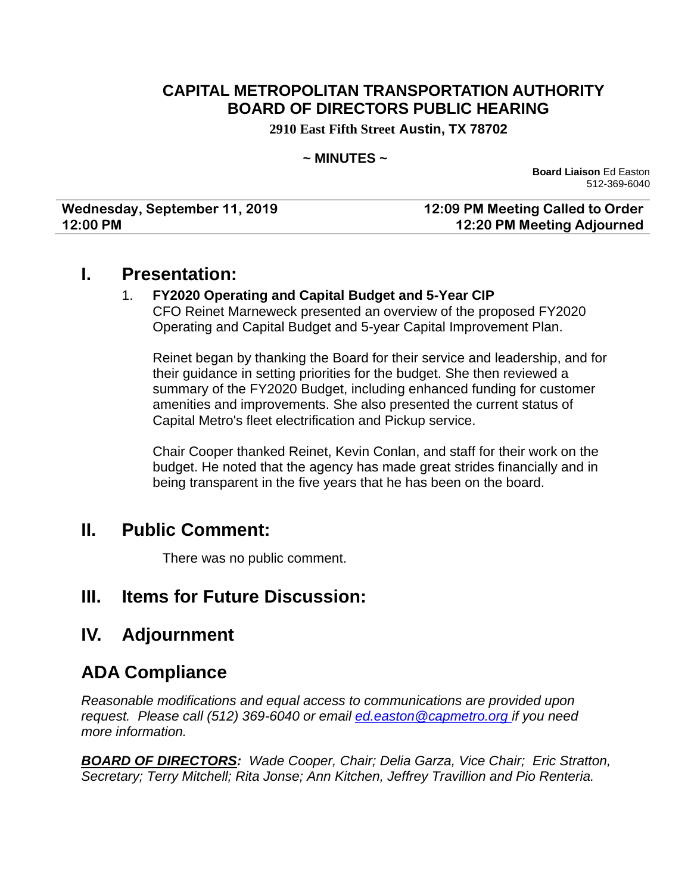# **CAPITAL METROPOLITAN TRANSPORTATION AUTHORITY BOARD OF DIRECTORS PUBLIC HEARING**

**2910 East Fifth Street Austin, TX 78702**

#### **~ MINUTES ~**

**Board Liaison** Ed Easton 512-369-6040

| Wednesday, September 11, 2019 | 12:09 PM Meeting Called to Order |
|-------------------------------|----------------------------------|
| 12:00 PM                      | 12:20 PM Meeting Adjourned       |

### **I. Presentation:**

#### 1. **FY2020 Operating and Capital Budget and 5-Year CIP**

CFO Reinet Marneweck presented an overview of the proposed FY2020 Operating and Capital Budget and 5-year Capital Improvement Plan.

Reinet began by thanking the Board for their service and leadership, and for their guidance in setting priorities for the budget. She then reviewed a summary of the FY2020 Budget, including enhanced funding for customer amenities and improvements. She also presented the current status of Capital Metro's fleet electrification and Pickup service.

Chair Cooper thanked Reinet, Kevin Conlan, and staff for their work on the budget. He noted that the agency has made great strides financially and in being transparent in the five years that he has been on the board.

### **II. Public Comment:**

There was no public comment.

# **III. Items for Future Discussion:**

# **IV. Adjournment**

# **ADA Compliance**

*Reasonable modifications and equal access to communications are provided upon request. Please call (512) 369-6040 or email ed.easton@capmetro.org if you need more information.*

*BOARD OF DIRECTORS: Wade Cooper, Chair; Delia Garza, Vice Chair; Eric Stratton, Secretary; Terry Mitchell; Rita Jonse; Ann Kitchen, Jeffrey Travillion and Pio Renteria.*